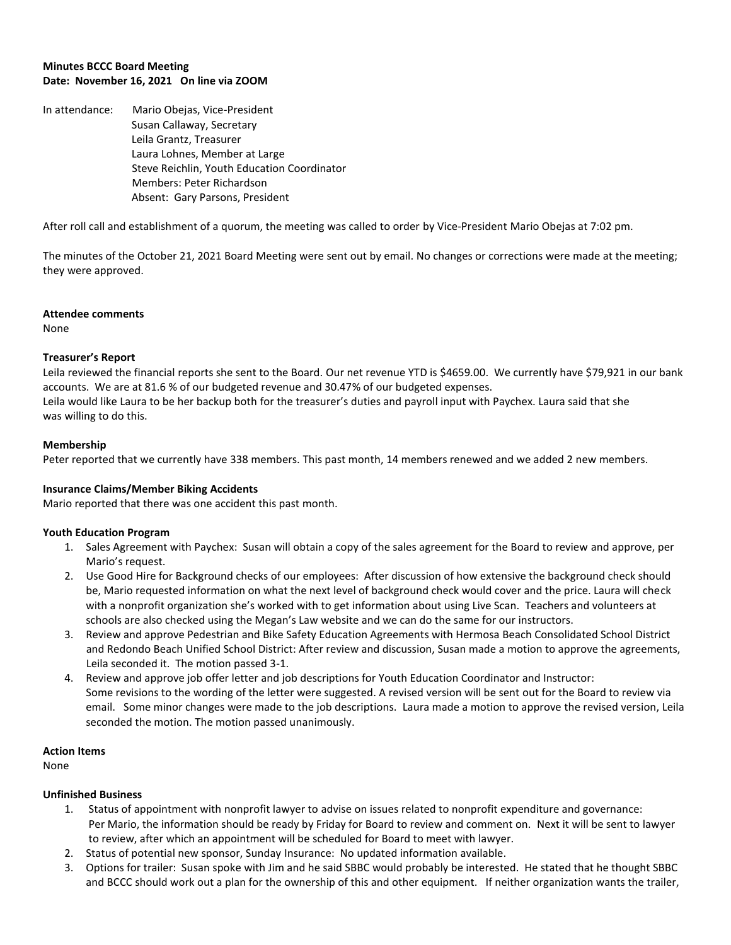# **Minutes BCCC Board Meeting Date: November 16, 2021 On line via ZOOM**

In attendance: Mario Obejas, Vice-President Susan Callaway, Secretary Leila Grantz, Treasurer Laura Lohnes, Member at Large Steve Reichlin, Youth Education Coordinator Members: Peter Richardson Absent: Gary Parsons, President

After roll call and establishment of a quorum, the meeting was called to order by Vice-President Mario Obejas at 7:02 pm.

The minutes of the October 21, 2021 Board Meeting were sent out by email. No changes or corrections were made at the meeting; they were approved.

#### **Attendee comments**

None

## **Treasurer's Report**

Leila reviewed the financial reports she sent to the Board. Our net revenue YTD is \$4659.00. We currently have \$79,921 in our bank accounts. We are at 81.6 % of our budgeted revenue and 30.47% of our budgeted expenses. Leila would like Laura to be her backup both for the treasurer's duties and payroll input with Paychex. Laura said that she was willing to do this.

## **Membership**

Peter reported that we currently have 338 members. This past month, 14 members renewed and we added 2 new members.

#### **Insurance Claims/Member Biking Accidents**

Mario reported that there was one accident this past month.

#### **Youth Education Program**

- 1. Sales Agreement with Paychex: Susan will obtain a copy of the sales agreement for the Board to review and approve, per Mario's request.
- 2. Use Good Hire for Background checks of our employees: After discussion of how extensive the background check should be, Mario requested information on what the next level of background check would cover and the price. Laura will check with a nonprofit organization she's worked with to get information about using Live Scan. Teachers and volunteers at schools are also checked using the Megan's Law website and we can do the same for our instructors.
- 3. Review and approve Pedestrian and Bike Safety Education Agreements with Hermosa Beach Consolidated School District and Redondo Beach Unified School District: After review and discussion, Susan made a motion to approve the agreements, Leila seconded it. The motion passed 3-1.
- 4. Review and approve job offer letter and job descriptions for Youth Education Coordinator and Instructor: Some revisions to the wording of the letter were suggested. A revised version will be sent out for the Board to review via email. Some minor changes were made to the job descriptions. Laura made a motion to approve the revised version, Leila seconded the motion. The motion passed unanimously.

#### **Action Items**

None

# **Unfinished Business**

- 1. Status of appointment with nonprofit lawyer to advise on issues related to nonprofit expenditure and governance: Per Mario, the information should be ready by Friday for Board to review and comment on. Next it will be sent to lawyer to review, after which an appointment will be scheduled for Board to meet with lawyer.
- 2. Status of potential new sponsor, Sunday Insurance: No updated information available.
- 3. Options for trailer: Susan spoke with Jim and he said SBBC would probably be interested. He stated that he thought SBBC and BCCC should work out a plan for the ownership of this and other equipment. If neither organization wants the trailer,